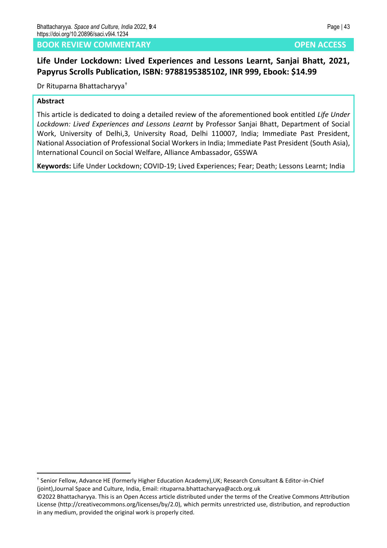# **BOOK REVIEW COMMENTARY OPEN ACCESS**

# **Life Under Lockdown: Lived Experiences and Lessons Learnt, Sanjai Bhatt, 2021, Papyrus Scrolls Publication, ISBN: 9788195385102, INR 999, Ebook: \$14.99**

Dr Rituparna Bhattacharyya†

### **Abstract**

This article is dedicated to doing a detailed review of the aforementioned book entitled *Life Under Lockdown: Lived Experiences and Lessons Learnt* by Professor Sanjai Bhatt, Department of Social Work, University of Delhi,3, University Road, Delhi 110007, India; Immediate Past President, National Association of Professional Social Workers in India; Immediate Past President (South Asia), International Council on Social Welfare, Alliance Ambassador, GSSWA

**Keywords:** Life Under Lockdown; COVID-19; Lived Experiences; Fear; Death; Lessons Learnt; India

<sup>†</sup> Senior Fellow, Advance HE (formerly Higher Education Academy),UK; Research Consultant & Editor-in-Chief (joint),Journal Space and Culture, India, Email: rituparna.bhattacharyya@accb.org.uk

<sup>©2022</sup> Bhattacharyya. This is an Open Access article distributed under the terms of the Creative Commons Attribution License (http://creativecommons.org/licenses/by/2.0), which permits unrestricted use, distribution, and reproduction in any medium, provided the original work is properly cited.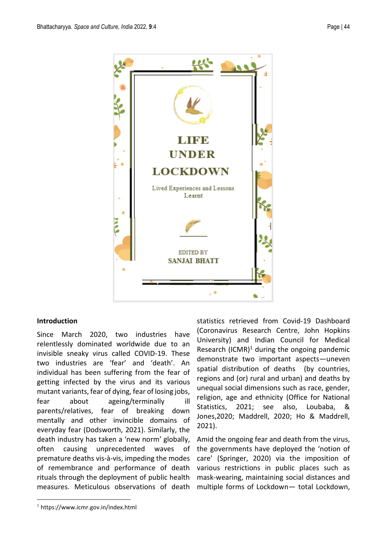

# **Introduction**

Since March 2020, two industries have relentlessly dominated worldwide due to an invisible sneaky virus called COVID-19. These two industries are 'fear' and 'death'. An individual has been suffering from the fear of getting infected by the virus and its various mutant variants, fear of dying, fear of losing jobs, fear about ageing/terminally ill parents/relatives, fear of breaking down mentally and other invincible domains of everyday fear (Dodsworth, 2021). Similarly, the death industry has taken a 'new norm' globally, often causing unprecedented waves of premature deaths vis-à-vis, impeding the modes of remembrance and performance of death rituals through the deployment of public health measures. Meticulous observations of death

statistics retrieved from Covid-19 Dashboard (Coronavirus Research Centre, John Hopkins University) and Indian Council for Medical Research  $(ICMR)^1$  during the ongoing pandemic demonstrate two important aspects—uneven spatial distribution of deaths (by countries, regions and (or) rural and urban) and deaths by unequal social dimensions such as race, gender, religion, age and ethnicity (Office for National Statistics, 2021; see also, Loubaba, & Jones,2020; Maddrell, 2020; Ho & Maddrell, 2021).

Amid the ongoing fear and death from the virus, the governments have deployed the 'notion of care' (Springer, 2020) via the imposition of various restrictions in public places such as mask-wearing, maintaining social distances and multiple forms of Lockdown— total Lockdown,

<sup>1</sup> https://www.icmr.gov.in/index.html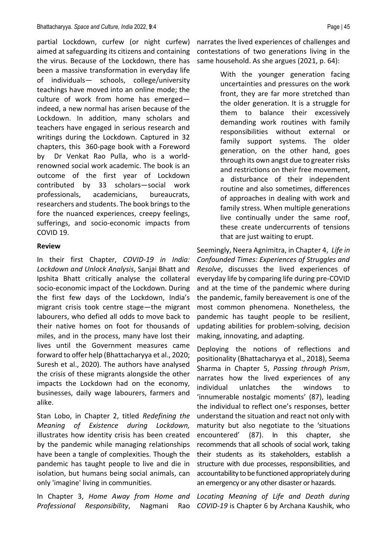partial Lockdown, curfew (or night curfew) aimed at safeguarding its citizens and containing the virus. Because of the Lockdown, there has been a massive transformation in everyday life of individuals— schools, college/university teachings have moved into an online mode; the culture of work from home has emerged indeed, a new normal has arisen because of the Lockdown. In addition, many scholars and teachers have engaged in serious research and writings during the Lockdown. Captured in 32 chapters, this 360-page book with a Foreword by Dr Venkat Rao Pulla, who is a worldrenowned social work academic. The book is an outcome of the first year of Lockdown contributed by 33 scholars—social work professionals, academicians, bureaucrats, researchers and students. The book brings to the fore the nuanced experiences, creepy feelings, sufferings, and socio-economic impacts from COVID 19.

### **Review**

In their first Chapter, *COVID-19 in India: Lockdown and Unlock Analysis*, Sanjai Bhatt and Ipshita Bhatt critically analyse the collateral socio-economic impact of the Lockdown. During the first few days of the Lockdown, India's migrant crisis took centre stage—the migrant labourers, who defied all odds to move back to their native homes on foot for thousands of miles, and in the process, many have lost their lives until the Government measures came forward to offer help (Bhattacharyya et al., 2020; Suresh et al., 2020). The authors have analysed the crisis of these migrants alongside the other impacts the Lockdown had on the economy, businesses, daily wage labourers, farmers and alike.

Stan Lobo, in Chapter 2, titled *Redefining the Meaning of Existence during Lockdown,* illustrates how identity crisis has been created by the pandemic while managing relationships have been a tangle of complexities. Though the pandemic has taught people to live and die in isolation, but humans being social animals, can only 'imagine' living in communities.

In Chapter 3, *Home Away from Home and Professional Responsibility*, Nagmani Rao narrates the lived experiences of challenges and contestations of two generations living in the same household. As she argues (2021, p. 64):

> With the younger generation facing uncertainties and pressures on the work front, they are far more stretched than the older generation. It is a struggle for them to balance their excessively demanding work routines with family responsibilities without external or family support systems. The older generation, on the other hand, goes through its own angst due to greater risks and restrictions on their free movement, a disturbance of their independent routine and also sometimes, differences of approaches in dealing with work and family stress. When multiple generations live continually under the same roof, these create undercurrents of tensions that are just waiting to erupt.

Seemingly, Neera Agnimitra, in Chapter 4, *Life in Confounded Times: Experiences of Struggles and Resolve*, discusses the lived experiences of everyday life by comparing life during pre-COVID and at the time of the pandemic where during the pandemic, family bereavement is one of the most common phenomena. Nonetheless, the pandemic has taught people to be resilient, updating abilities for problem-solving, decision making, innovating, and adapting.

Deploying the notions of reflections and positionality (Bhattacharyya et al., 2018), Seema Sharma in Chapter 5, *Passing through Prism*, narrates how the lived experiences of any individual unlatches the windows to 'innumerable nostalgic moments' (87), leading the individual to reflect one's responses, better understand the situation and react not only with maturity but also negotiate to the 'situations encountered' (87). In this chapter, she recommends that all schools of social work, taking their students as its stakeholders, establish a structure with due processes, responsibilities, and accountability to be functioned appropriately during an emergency or any other disaster or hazards.

*Locating Meaning of Life and Death during COVID-19* is Chapter 6 by Archana Kaushik, who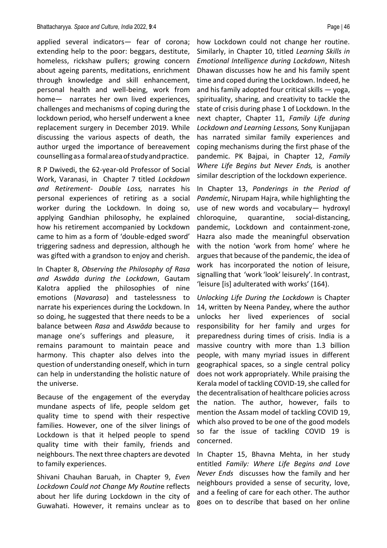applied several indicators— fear of corona; extending help to the poor: beggars, destitute, homeless, rickshaw pullers; growing concern about ageing parents, meditations, enrichment through knowledge and skill enhancement, personal health and well-being, work from home— narrates her own lived experiences, challenges and mechanisms of coping during the lockdown period, who herself underwent a knee replacement surgery in December 2019. While discussing the various aspects of death, the author urged the importance of bereavement counsellingasa formalareaofstudyandpractice.

R P Dwivedi, the 62-year-old Professor of Social Work, Varanasi, in Chapter 7 titled *Lockdown and Retirement- Double Loss,* narrates his personal experiences of retiring as a social worker during the Lockdown. In doing so, applying Gandhian philosophy, he explained how his retirement accompanied by Lockdown came to him as a form of 'double-edged sword' triggering sadness and depression, although he was gifted with a grandson to enjoy and cherish.

In Chapter 8, *Observing the Philosophy of Rasa and Aswāda during the Lockdown*, Gautam Kalotra applied the philosophies of nine emotions (*Navarasa*) and tastelessness to narrate his experiences during the Lockdown. In so doing, he suggested that there needs to be a balance between *Rasa* and *Aswāda* because to manage one's sufferings and pleasure, it remains paramount to maintain peace and harmony. This chapter also delves into the question of understanding oneself, which in turn can help in understanding the holistic nature of the universe.

Because of the engagement of the everyday mundane aspects of life, people seldom get quality time to spend with their respective families. However, one of the silver linings of Lockdown is that it helped people to spend quality time with their family, friends and neighbours. The next three chapters are devoted to family experiences.

Shivani Chauhan Baruah, in Chapter 9, *Even Lockdown Could not Change My Routin*e reflects about her life during Lockdown in the city of Guwahati. However, it remains unclear as to

how Lockdown could not change her routine. Similarly, in Chapter 10, titled *Learning Skills in Emotional Intelligence during Lockdown*, Nitesh Dhawan discusses how he and his family spent time and coped during the Lockdown. Indeed, he and his family adopted four critical skills — yoga, spirituality, sharing, and creativity to tackle the state of crisis during phase 1 of Lockdown. In the next chapter, Chapter 11, *Family Life during Lockdown and Learning Lessons,* Sony Kunjjapan has narrated similar family experiences and coping mechanisms during the first phase of the pandemic. PK Bajpai, in Chapter 12, *Family Where Life Begins but Never Ends,* is another similar description of the lockdown experience.

In Chapter 13, *Ponderings in the Period of Pandemic*, Nirupam Hajra, while highlighting the use of new words and vocabulary— hydroxyl chloroquine, quarantine, social-distancing, pandemic, Lockdown and containment-zone, Hazra also made the meaningful observation with the notion 'work from home' where he argues that because of the pandemic, the idea of work has incorporated the notion of leisure, signalling that 'work 'look' leisurely'. In contrast, 'leisure [is] adulterated with works' (164).

*Unlocking Life During the Lockdown* is Chapter 14, written by Neena Pandey, where the author unlocks her lived experiences of social responsibility for her family and urges for preparedness during times of crisis. India is a massive country with more than 1.3 billion people, with many myriad issues in different geographical spaces, so a single central policy does not work appropriately. While praising the Kerala model of tackling COVID-19, she called for the decentralisation of healthcare policies across the nation. The author, however, fails to mention the Assam model of tackling COVID 19, which also proved to be one of the good models so far the issue of tackling COVID 19 is concerned.

In Chapter 15, Bhavna Mehta, in her study entitled *Family: Where Life Begins and Love Never Ends* discusses how the family and her neighbours provided a sense of security, love, and a feeling of care for each other. The author goes on to describe that based on her online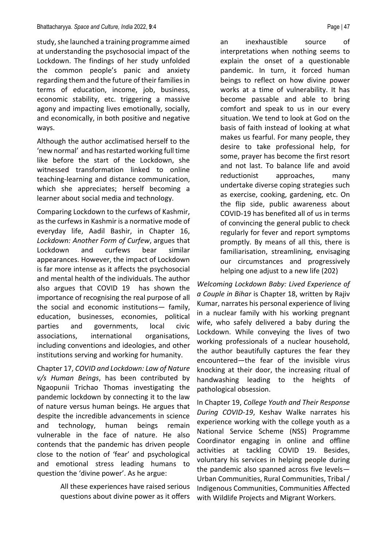study, she launched a training programme aimed at understanding the psychosocial impact of the Lockdown. The findings of her study unfolded the common people's panic and anxiety regarding them and the future of their families in terms of education, income, job, business, economic stability, etc. triggering a massive agony and impacting lives emotionally, socially, and economically, in both positive and negative ways.

Although the author acclimatised herself to the 'new normal' and has restarted working full time like before the start of the Lockdown, she witnessed transformation linked to online teaching-learning and distance communication, which she appreciates; herself becoming a learner about social media and technology.

Comparing Lockdown to the curfews of Kashmir, as the curfews in Kashmir is a normative mode of everyday life, Aadil Bashir, in Chapter 16, *Lockdown: Another Form of Curfew*, argues that Lockdown and curfews bear similar appearances. However, the impact of Lockdown is far more intense as it affects the psychosocial and mental health of the individuals. The author also argues that COVID 19 has shown the importance of recognising the real purpose of all the social and economic institutions— family, education, businesses, economies, political parties and governments, local civic associations, international organisations, including conventions and ideologies, and other institutions serving and working for humanity.

Chapter 17, *COVID and Lockdown: Law of Nature v/s Human Beings*, has been contributed by Ngaopunii Trichao Thomas investigating the pandemic lockdown by connecting it to the law of nature versus human beings. He argues that despite the incredible advancements in science and technology, human beings remain vulnerable in the face of nature. He also contends that the pandemic has driven people close to the notion of 'fear' and psychological and emotional stress leading humans to question the 'divine power'. As he argue:

> All these experiences have raised serious questions about divine power as it offers

an inexhaustible source of interpretations when nothing seems to explain the onset of a questionable pandemic. In turn, it forced human beings to reflect on how divine power works at a time of vulnerability. It has become passable and able to bring comfort and speak to us in our every situation. We tend to look at God on the basis of faith instead of looking at what makes us fearful. For many people, they desire to take professional help, for some, prayer has become the first resort and not last. To balance life and avoid reductionist approaches, many undertake diverse coping strategies such as exercise, cooking, gardening, etc. On the flip side, public awareness about COVID-19 has benefited all of us in terms of convincing the general public to check regularly for fever and report symptoms promptly. By means of all this, there is familiarisation, streamlining, envisaging our circumstances and progressively helping one adjust to a new life (202)

*Welcoming Lockdown Baby: Lived Experience of a Couple in Bihar* is Chapter 18, written by Rajiv Kumar, narrates his personal experience of living in a nuclear family with his working pregnant wife, who safely delivered a baby during the Lockdown. While conveying the lives of two working professionals of a nuclear household, the author beautifully captures the fear they encountered—the fear of the invisible virus knocking at their door, the increasing ritual of handwashing leading to the heights of pathological obsession.

In Chapter 19, *College Youth and Their Response During COVID-19*, Keshav Walke narrates his experience working with the college youth as a National Service Scheme (NSS) Programme Coordinator engaging in online and offline activities at tackling COVID 19. Besides, voluntary his services in helping people during the pandemic also spanned across five levels— Urban Communities, Rural Communities, Tribal / Indigenous Communities, Communities Affected with Wildlife Projects and Migrant Workers.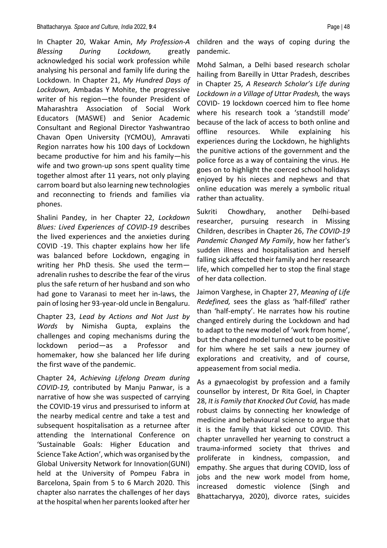#### Bhattacharyya*. Space and Culture, India* 2022, **9**:4 Page | 48

In Chapter 20, Wakar Amin, *My Profession-A Blessing During Lockdown,* greatly acknowledged his social work profession while analysing his personal and family life during the Lockdown. In Chapter 21, *My Hundred Days of Lockdown,* Ambadas Y Mohite, the progressive writer of his region—the founder President of Maharashtra Association of Social Work Educators (MASWE) and Senior Academic Consultant and Regional Director Yashwantrao Chavan Open University (YCMOU), Amravati Region narrates how his 100 days of Lockdown became productive for him and his family—his wife and two grown-up sons spent quality time together almost after 11 years, not only playing carrom board but also learning new technologies and reconnecting to friends and families via phones.

Shalini Pandey, in her Chapter 22, *Lockdown Blues: Lived Experiences of COVID-19* describes the lived experiences and the anxieties during COVID -19. This chapter explains how her life was balanced before Lockdown, engaging in writing her PhD thesis. She used the term adrenalin rushes to describe the fear of the virus plus the safe return of her husband and son who had gone to Varanasi to meet her in-laws, the pain of losing her 93-year-old uncle in Bengaluru.

Chapter 23, *Lead by Actions and Not Just by Words* by Nimisha Gupta, explains the challenges and coping mechanisms during the lockdown period—as a Professor and homemaker, how she balanced her life during the first wave of the pandemic.

Chapter 24, *Achieving Lifelong Dream during COVID-19,* contributed by Manju Panwar, is a narrative of how she was suspected of carrying the COVID-19 virus and pressurised to inform at the nearby medical centre and take a test and subsequent hospitalisation as a returnee after attending the International Conference on 'Sustainable Goals: Higher Education and Science Take Action', which was organised by the Global University Network for Innovation(GUNI) held at the University of Pompeu Fabra in Barcelona, Spain from 5 to 6 March 2020. This chapter also narrates the challenges of her days at the hospital when her parents looked after her

children and the ways of coping during the pandemic.

Mohd Salman, a Delhi based research scholar hailing from Bareilly in Uttar Pradesh, describes in Chapter 25*, A Research Scholar's Life during Lockdown in a Village of Uttar Pradesh,* the ways COVID- 19 lockdown coerced him to flee home where his research took a 'standstill mode' because of the lack of access to both online and offline resources. While explaining his experiences during the Lockdown, he highlights the punitive actions of the government and the police force as a way of containing the virus. He goes on to highlight the coerced school holidays enjoyed by his nieces and nephews and that online education was merely a symbolic ritual rather than actuality.

Sukriti Chowdhary, another Delhi-based researcher, pursuing research in Missing Children, describes in Chapter 26, *The COVID-19 Pandemic Changed My Family*, how her father's sudden illness and hospitalisation and herself falling sick affected their family and her research life, which compelled her to stop the final stage of her data collection.

Jaimon Varghese, in Chapter 27, *Meaning of Life Redefined,* sees the glass as 'half-filled' rather than 'half-empty'. He narrates how his routine changed entirely during the Lockdown and had to adapt to the new model of 'work from home', but the changed model turned out to be positive for him where he set sails a new journey of explorations and creativity, and of course, appeasement from social media.

As a gynaecologist by profession and a family counsellor by interest, Dr Rita Goel, in Chapter 28, *It is Family that Knocked Out Covid,* has made robust claims by connecting her knowledge of medicine and behavioural science to argue that it is the family that kicked out COVID. This chapter unravelled her yearning to construct a trauma-informed society that thrives and proliferate in kindness, compassion, and empathy. She argues that during COVID, loss of jobs and the new work model from home, increased domestic violence (Singh and Bhattacharyya, 2020), divorce rates, suicides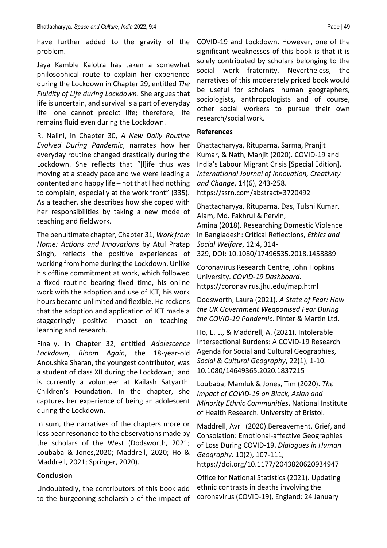have further added to the gravity of the problem.

Jaya Kamble Kalotra has taken a somewhat philosophical route to explain her experience during the Lockdown in Chapter 29, entitled *The Fluidity of Life during Lockdown*. She argues that life is uncertain, and survival is a part of everyday life—one cannot predict life; therefore, life remains fluid even during the Lockdown.

R. Nalini, in Chapter 30, *A New Daily Routine Evolved During Pandemic*, narrates how her everyday routine changed drastically during the Lockdown. She reflects that "[l]ife thus was moving at a steady pace and we were leading a contented and happy life – not that I had nothing to complain, especially at the work front" (335). As a teacher, she describes how she coped with her responsibilities by taking a new mode of teaching and fieldwork.

The penultimate chapter, Chapter 31, *Work from Home: Actions and Innovations* by Atul Pratap Singh, reflects the positive experiences of working from home during the Lockdown. Unlike his offline commitment at work, which followed a fixed routine bearing fixed time, his online work with the adoption and use of ICT, his work hours became unlimited and flexible. He reckons that the adoption and application of ICT made a staggeringly positive impact on teachinglearning and research.

Finally, in Chapter 32, entitled *Adolescence Lockdown, Bloom Again*, the 18-year-old Anoushka Sharan, the youngest contributor, was a student of class XII during the Lockdown; and is currently a volunteer at Kailash Satyarthi Children's Foundation. In the chapter, she captures her experience of being an adolescent during the Lockdown.

In sum, the narratives of the chapters more or less bear resonance to the observations made by the scholars of the West (Dodsworth, 2021; Loubaba & Jones,2020; Maddrell, 2020; Ho & Maddrell, 2021; Springer, 2020).

### **Conclusion**

Undoubtedly, the contributors of this book add to the burgeoning scholarship of the impact of

COVID-19 and Lockdown. However, one of the significant weaknesses of this book is that it is solely contributed by scholars belonging to the social work fraternity. Nevertheless, the narratives of this moderately priced book would be useful for scholars—human geographers, sociologists, anthropologists and of course, other social workers to pursue their own research/social work.

### **References**

Bhattacharyya, Rituparna, Sarma, Pranjit Kumar, & Nath, Manjit (2020). COVID-19 and India's Labour Migrant Crisis [Special Edition]. *International Journal of Innovation, Creativity and Change*, 14(6), 243-258. <https://ssrn.com/abstract=3720492>

Bhattacharyya, Rituparna, Das, Tulshi Kumar, Alam, Md. Fakhrul & Pervin,

Amina (2018). Researching Domestic Violence in Bangladesh: Critical Reflections, *Ethics and Social Welfare*, 12:4, 314- 329, DOI: [10.1080/17496535.2018.1458889](https://doi.org/10.1080/17496535.2018.1458889)

Coronavirus Research Centre, John Hopkins University. *COVID-19 Dashboard*. <https://coronavirus.jhu.edu/map.html>

Dodsworth, Laura (2021). *A State of Fear: How the UK Government Weaponised Fear During the COVID-19 Pandemic*. Pinter & Martin Ltd.

Ho, E. L., & Maddrell, A. (2021). Intolerable Intersectional Burdens: A COVID-19 Research Agenda for Social and Cultural Geographies, *Social & Cultural Geography*, 22(1), 1-10. 10.1080/14649365.2020.1837215

Loubaba, Mamluk & Jones, Tim (2020). *The Impact of COVID-19 on Black, Asian and Minority Ethnic Communities*. National Institute of Health Research. University of Bristol.

Maddrell, Avril (2020).Bereavement, Grief, and Consolation: Emotional-affective Geographies of Loss During COVID-19. *Dialogues in Human Geography*. 10(2), 107-111, https://doi.org/10.1177/2043820620934947

Office for National Statistics (2021). Updating ethnic contrasts in deaths involving the coronavirus (COVID-19), England: 24 January